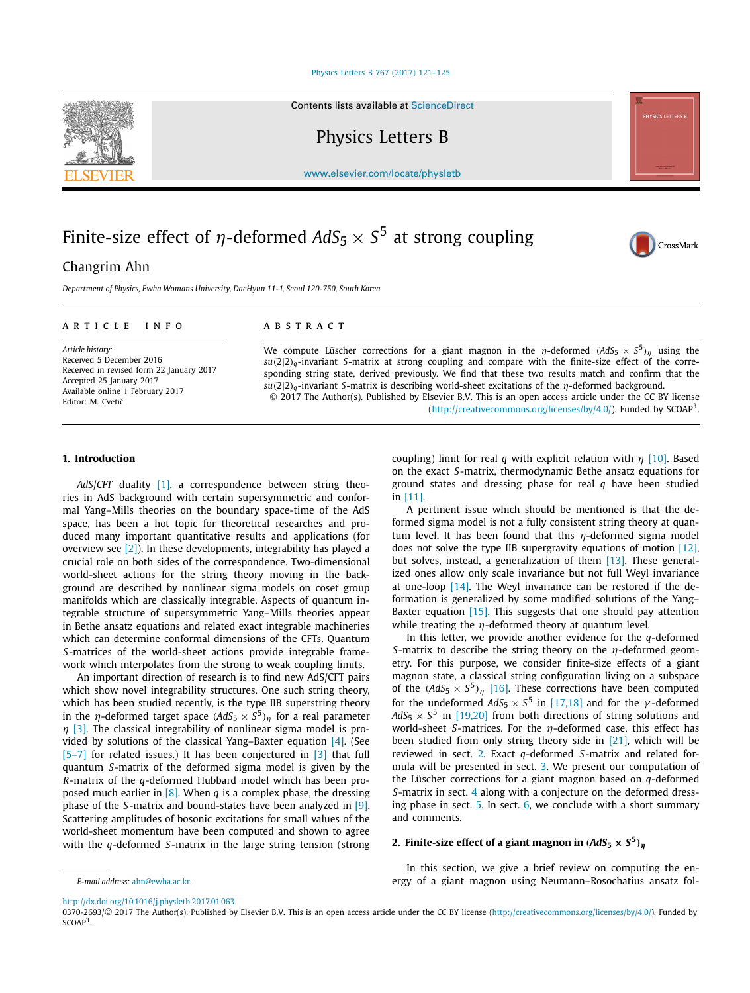#### [Physics Letters B 767 \(2017\) 121–125](http://dx.doi.org/10.1016/j.physletb.2017.01.063)

Contents lists available at [ScienceDirect](http://www.ScienceDirect.com/)

Physics Letters B

[www.elsevier.com/locate/physletb](http://www.elsevier.com/locate/physletb)

# Finite-size effect of *η*-deformed  $AdS_5 \times S^5$  at strong coupling

# Changrim Ahn

*Department of Physics, Ewha Womans University, DaeHyun 11-1, Seoul 120-750, South Korea*

# A R T I C L E I N F O A B S T R A C T

*Article history:* Received 5 December 2016 Received in revised form 22 January 2017 Accepted 25 January 2017 Available online 1 February 2017 Editor: M. Cvetič

We compute Lüscher corrections for a giant magnon in the *η*-deformed  $(AdS_5 \times S^5)_n$  using the *su(*2|2*)q*-invariant *S*-matrix at strong coupling and compare with the finite-size effect of the corresponding string state, derived previously. We find that these two results match and confirm that the *su(*2|2*)q*-invariant *<sup>S</sup>*-matrix is describing world-sheet excitations of the *η*-deformed background. © 2017 The Author(s). Published by Elsevier B.V. This is an open access article under the CC BY license

[\(http://creativecommons.org/licenses/by/4.0/\)](http://creativecommons.org/licenses/by/4.0/). Funded by SCOAP3.

# **1. Introduction**

*AdS*/*CFT* duality [\[1\],](#page-3-0) a correspondence between string theories in AdS background with certain supersymmetric and conformal Yang–Mills theories on the boundary space-time of the AdS space, has been a hot topic for theoretical researches and produced many important quantitative results and applications (for overview see  $[2]$ ). In these developments, integrability has played a crucial role on both sides of the correspondence. Two-dimensional world-sheet actions for the string theory moving in the background are described by nonlinear sigma models on coset group manifolds which are classically integrable. Aspects of quantum integrable structure of supersymmetric Yang–Mills theories appear in Bethe ansatz equations and related exact integrable machineries which can determine conformal dimensions of the CFTs. Quantum *S*-matrices of the world-sheet actions provide integrable framework which interpolates from the strong to weak coupling limits.

An important direction of research is to find new AdS/CFT pairs which show novel integrability structures. One such string theory, which has been studied recently, is the type IIB superstring theory in the *η*-deformed target space  $(AdS_5 \times S^5)_n$  for a real parameter *η* [\[3\].](#page-3-0) The classical integrability of nonlinear sigma model is provided by solutions of the classical Yang–Baxter equation [\[4\].](#page-3-0) (See [\[5–7\]](#page-3-0) for related issues.) It has been conjectured in [\[3\]](#page-3-0) that full quantum *S*-matrix of the deformed sigma model is given by the *R*-matrix of the *q*-deformed Hubbard model which has been proposed much earlier in [\[8\].](#page-3-0) When *q* is a complex phase, the dressing phase of the *S*-matrix and bound-states have been analyzed in [\[9\].](#page-3-0) Scattering amplitudes of bosonic excitations for small values of the world-sheet momentum have been computed and shown to agree with the *q*-deformed *S*-matrix in the large string tension (strong coupling) limit for real *q* with explicit relation with *η* [\[10\].](#page-3-0) Based on the exact *S*-matrix, thermodynamic Bethe ansatz equations for ground states and dressing phase for real *q* have been studied in [\[11\].](#page-3-0)

A pertinent issue which should be mentioned is that the deformed sigma model is not a fully consistent string theory at quantum level. It has been found that this *η*-deformed sigma model does not solve the type IIB supergravity equations of motion [\[12\],](#page-3-0) but solves, instead, a generalization of them [\[13\].](#page-3-0) These generalized ones allow only scale invariance but not full Weyl invariance at one-loop  $[14]$ . The Weyl invariance can be restored if the deformation is generalized by some modified solutions of the Yang– Baxter equation [\[15\].](#page-3-0) This suggests that one should pay attention while treating the *η*-deformed theory at quantum level.

In this letter, we provide another evidence for the *q*-deformed *S*-matrix to describe the string theory on the *η*-deformed geometry. For this purpose, we consider finite-size effects of a giant magnon state, a classical string configuration living on a subspace of the  $(AdS_5 \times S^5)_{\eta}$  [\[16\].](#page-3-0) These corrections have been computed for the undeformed  $AdS_5 \times S^5$  in [\[17,18\]](#page-3-0) and for the *γ*-deformed  $AdS_5 \times S^5$  in [\[19,20\]](#page-3-0) from both directions of string solutions and world-sheet *S*-matrices. For the *η*-deformed case, this effect has been studied from only string theory side in [\[21\],](#page-4-0) which will be reviewed in sect. 2. Exact *q*-deformed *S*-matrix and related formula will be presented in sect. [3.](#page-1-0) We present our computation of the Lüscher corrections for a giant magnon based on *q*-deformed *S*-matrix in sect. [4](#page-2-0) along with a conjecture on the deformed dressing phase in sect. [5.](#page-2-0) In sect. [6,](#page-3-0) we conclude with a short summary and comments.

# **2. Finite-size effect** of **a** giant magnon in  $(AdS_5 \times S^5)_{\eta}$

In this section, we give a brief review on computing the energy of a giant magnon using Neumann–Rosochatius ansatz fol-

<http://dx.doi.org/10.1016/j.physletb.2017.01.063>

*E-mail address:* [ahn@ewha.ac.kr.](mailto:ahn@ewha.ac.kr)





<sup>0370-2693/© 2017</sup> The Author(s). Published by Elsevier B.V. This is an open access article under the CC BY license [\(http://creativecommons.org/licenses/by/4.0/](http://creativecommons.org/licenses/by/4.0/)). Funded by SCOAP<sup>3</sup>.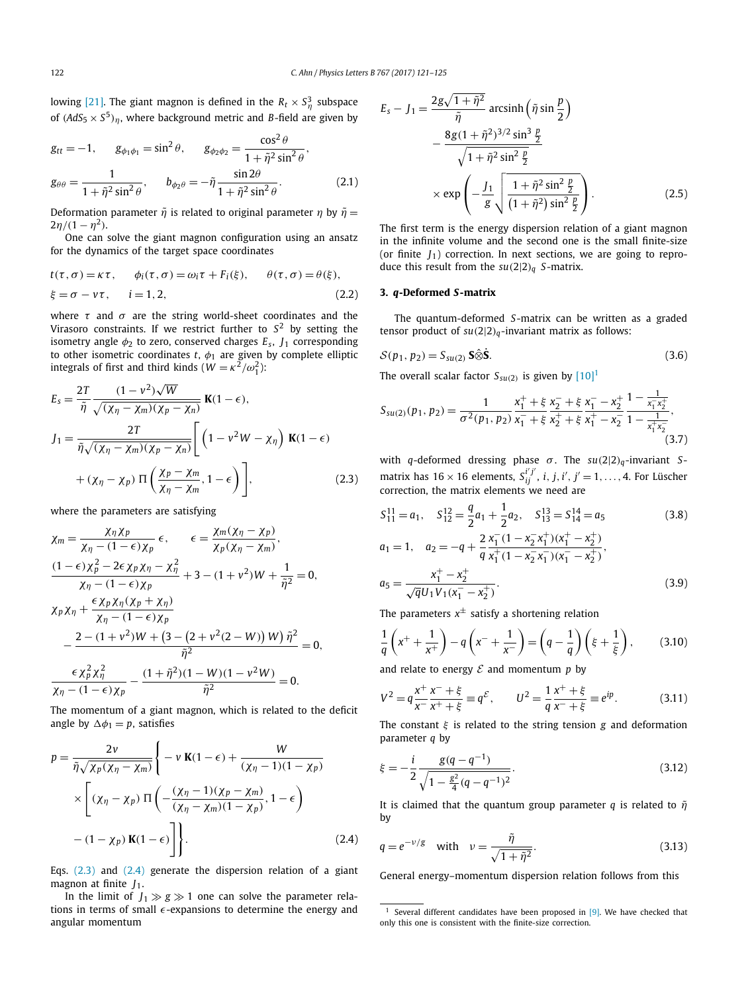<span id="page-1-0"></span>lowing [\[21\].](#page-4-0) The giant magnon is defined in the  $R_t \times S_\eta^3$  subspace of  $(AdS_5 \times S^5)_\eta$ , where background metric and *B*-field are given by

$$
g_{tt} = -1, \t g_{\phi_1 \phi_1} = \sin^2 \theta, \t g_{\phi_2 \phi_2} = \frac{\cos^2 \theta}{1 + \tilde{\eta}^2 \sin^2 \theta},
$$
  

$$
g_{\theta \theta} = \frac{1}{1 + \tilde{\eta}^2 \sin^2 \theta}, \t b_{\phi_2 \theta} = -\tilde{\eta} \frac{\sin 2\theta}{1 + \tilde{\eta}^2 \sin^2 \theta}.
$$
 (2.1)

Deformation parameter  $\tilde{\eta}$  is related to original parameter  $\eta$  by  $\tilde{\eta}$  = 2*η*/(1 – *η*<sup>2</sup>).

One can solve the giant magnon configuration using an ansatz for the dynamics of the target space coordinates

$$
t(\tau, \sigma) = \kappa \tau, \qquad \phi_i(\tau, \sigma) = \omega_i \tau + F_i(\xi), \qquad \theta(\tau, \sigma) = \theta(\xi),
$$
  

$$
\xi = \sigma - \nu \tau, \qquad i = 1, 2,
$$
 (2.2)

where  $\tau$  and  $\sigma$  are the string world-sheet coordinates and the Virasoro constraints. If we restrict further to *S*<sup>2</sup> by setting the isometry angle  $\phi_2$  to zero, conserved charges  $E_s$ ,  $J_1$  corresponding to other isometric coordinates  $t$ ,  $\phi_1$  are given by complete elliptic integrals of first and third kinds ( $W = \kappa^2/\omega_1^2$ ):

$$
E_{s} = \frac{2T}{\tilde{\eta}} \frac{(1 - v^{2})\sqrt{W}}{\sqrt{(\chi_{\eta} - \chi_{m})(\chi_{p} - \chi_{n})}} \mathbf{K}(1 - \epsilon),
$$
  
\n
$$
J_{1} = \frac{2T}{\tilde{\eta}\sqrt{(\chi_{\eta} - \chi_{m})(\chi_{p} - \chi_{n})}} \left[ \left(1 - v^{2}W - \chi_{\eta}\right) \mathbf{K}(1 - \epsilon) + (\chi_{\eta} - \chi_{p}) \Pi \left(\frac{\chi_{p} - \chi_{m}}{\chi_{\eta} - \chi_{m}}, 1 - \epsilon\right) \right],
$$
\n(2.3)

where the parameters are satisfying

$$
\chi_m = \frac{\chi_{\eta} \chi_p}{\chi_{\eta} - (1 - \epsilon) \chi_p} \epsilon, \qquad \epsilon = \frac{\chi_m(\chi_{\eta} - \chi_p)}{\chi_p(\chi_{\eta} - \chi_m)},
$$
  

$$
\frac{(1 - \epsilon) \chi_p^2 - 2\epsilon \chi_p \chi_{\eta} - \chi_{\eta}^2}{\chi_{\eta} - (1 - \epsilon) \chi_p} + 3 - (1 + v^2)W + \frac{1}{\tilde{\eta}^2} = 0,
$$
  

$$
\chi_p \chi_{\eta} + \frac{\epsilon \chi_p \chi_{\eta}(\chi_p + \chi_{\eta})}{\chi_{\eta} - (1 - \epsilon) \chi_p}
$$
  

$$
- \frac{2 - (1 + v^2)W + (3 - (2 + v^2(2 - W))W)\tilde{\eta}^2}{\tilde{\eta}^2} = 0,
$$
  

$$
\frac{\epsilon \chi_p^2 \chi_{\eta}^2}{\chi_{\eta} - (1 - \epsilon) \chi_p} - \frac{(1 + \tilde{\eta}^2)(1 - W)(1 - v^2W)}{\tilde{\eta}^2} = 0.
$$

The momentum of a giant magnon, which is related to the deficit angle by  $\Delta \phi_1 = p$ , satisfies

$$
p = \frac{2v}{\tilde{\eta}\sqrt{\chi_p(\chi_\eta - \chi_m)}} \left\{ -v \mathbf{K}(1-\epsilon) + \frac{W}{(\chi_\eta - 1)(1-\chi_p)} \right\}
$$

$$
\times \left[ (\chi_\eta - \chi_p) \Pi \left( -\frac{(\chi_\eta - 1)(\chi_p - \chi_m)}{(\chi_\eta - \chi_m)(1-\chi_p)}, 1-\epsilon \right) - (1-\chi_p) \mathbf{K}(1-\epsilon) \right] \right\}.
$$
(2.4)

Eqs.  $(2.3)$  and  $(2.4)$  generate the dispersion relation of a giant magnon at finite  $J_1$ .

In the limit of  $J_1 \gg g \gg 1$  one can solve the parameter relations in terms of small  $\epsilon$ -expansions to determine the energy and angular momentum

$$
E_{s} - J_{1} = \frac{2g\sqrt{1 + \tilde{\eta}^{2}}}{\tilde{\eta}} \arcsin\left(\tilde{\eta} \sin\frac{p}{2}\right)
$$
  
 
$$
- \frac{8g(1 + \tilde{\eta}^{2})^{3/2} \sin^{3}\frac{p}{2}}{\sqrt{1 + \tilde{\eta}^{2} \sin^{2}\frac{p}{2}}}
$$
  
 
$$
\times \exp\left(-\frac{J_{1}}{g}\sqrt{\frac{1 + \tilde{\eta}^{2} \sin^{2}\frac{p}{2}}{(1 + \tilde{\eta}^{2}) \sin^{2}\frac{p}{2}}}\right).
$$
(2.5)

The first term is the energy dispersion relation of a giant magnon in the infinite volume and the second one is the small finite-size (or finite  $J_1$ ) correction. In next sections, we are going to reproduce this result from the  $su(2|2)_q$  *S*-matrix.

# **3.** *q***-Deformed** *S***-matrix**

The quantum-deformed *S*-matrix can be written as a graded tensor product of *su(*2|2*)q*-invariant matrix as follows:

$$
S(p_1, p_2) = S_{su(2)} \mathbf{S} \hat{\otimes} \dot{\mathbf{S}}.
$$
 (3.6)

The overall scalar factor  $S_{su(2)}$  is given by  $[10]$ <sup>1</sup>

$$
S_{\text{SU}(2)}(p_1, p_2) = \frac{1}{\sigma^2(p_1, p_2)} \frac{x_1^+ + \xi}{x_1^- + \xi} \frac{x_2^- + \xi}{x_2^+ + \xi} \frac{x_1^- - x_2^+}{x_1^+ - x_2^-} \frac{1 - \frac{1}{x_1^- x_2^+}}{1 - \frac{1}{x_1^+ x_2^-}}\,,\tag{3.7}
$$

with *<sup>q</sup>*-deformed dressing phase *σ* . The *su(*2|2*)q*-invariant *<sup>S</sup>*matrix has  $16 \times 16$  elements,  $S_{ij}^{i'j'}$ ,  $i, j, i', j' = 1, \ldots, 4$ . For Lüscher correction, the matrix elements we need are

$$
S_{11}^{11} = a_1, \quad S_{12}^{12} = \frac{q}{2}a_1 + \frac{1}{2}a_2, \quad S_{13}^{13} = S_{14}^{14} = a_5
$$
\n
$$
a_1 = 1, \quad a_2 = -q + \frac{2}{q} \frac{x_1^-(1 - x_2^-\,x_1^+) (x_1^+ - x_2^+)}{x_1^+(1 - x_2^-\,x_1^-) (x_1^- - x_2^+)},
$$
\n
$$
a_5 = \frac{x_1^+ - x_2^+}{\sqrt{q}U_1V_1(x_1^- - x_2^+)}.
$$
\n(3.9)

The parameters  $x^{\pm}$  satisfy a shortening relation

$$
\frac{1}{q}\left(x^{+}+\frac{1}{x^{+}}\right)-q\left(x^{-}+\frac{1}{x^{-}}\right)=\left(q-\frac{1}{q}\right)\left(\xi+\frac{1}{\xi}\right),\qquad(3.10)
$$

and relate to energy  $\mathcal E$  and momentum  $p$  by

$$
V^{2} = q \frac{x^{+}}{x^{-}} \frac{x^{-} + \xi}{x^{+} + \xi} \equiv q^{\mathcal{E}}, \qquad U^{2} = \frac{1}{q} \frac{x^{+} + \xi}{x^{-} + \xi} \equiv e^{ip}.
$$
 (3.11)

The constant *ξ* is related to the string tension *g* and deformation parameter *q* by

$$
\xi = -\frac{i}{2} \frac{g(q - q^{-1})}{\sqrt{1 - \frac{g^2}{4}(q - q^{-1})^2}}.
$$
\n(3.12)

It is claimed that the quantum group parameter *q* is related to  $\tilde{\eta}$ by

$$
q = e^{-\nu/g} \quad \text{with} \quad \nu = \frac{\tilde{\eta}}{\sqrt{1 + \tilde{\eta}^2}}.
$$
 (3.13)

General energy–momentum dispersion relation follows from this

Several different candidates have been proposed in  $[9]$ . We have checked that only this one is consistent with the finite-size correction.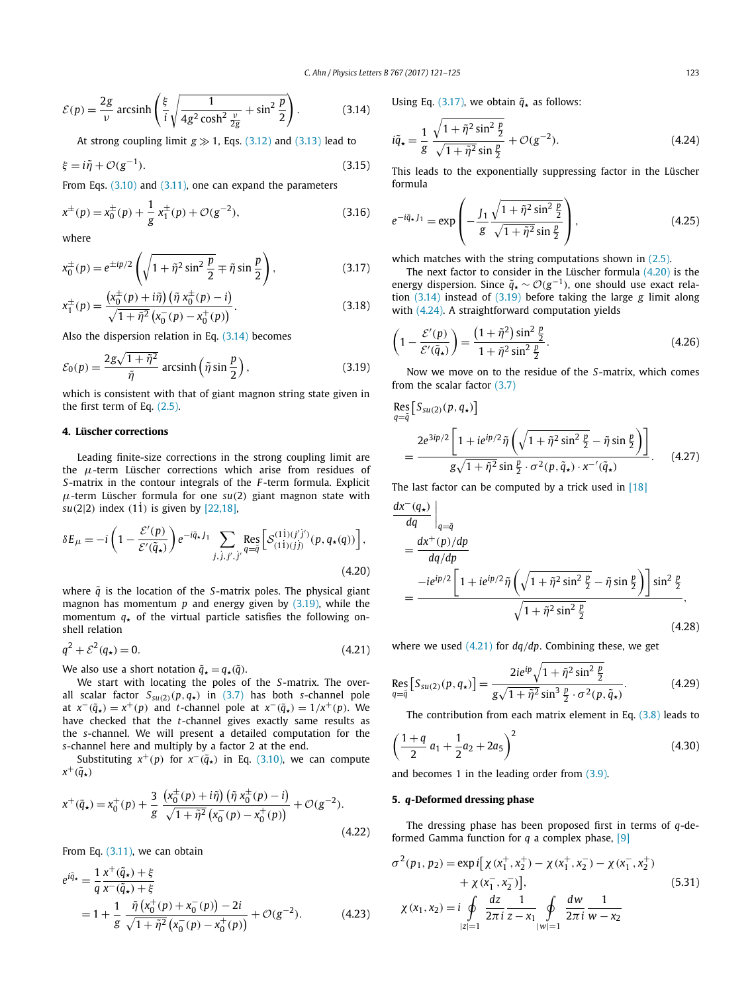<span id="page-2-0"></span>
$$
\mathcal{E}(p) = \frac{2g}{\nu} \operatorname{arcsinh}\left(\frac{\xi}{i} \sqrt{\frac{1}{4g^2 \cosh^2 \frac{\nu}{2g}} + \sin^2 \frac{p}{2}}\right). \tag{3.14}
$$

At strong coupling limit  $g \gg 1$ , Eqs. [\(3.12\)](#page-1-0) and [\(3.13\)](#page-1-0) lead to

$$
\xi = i\tilde{\eta} + \mathcal{O}(g^{-1}).\tag{3.15}
$$

From Eqs. [\(3.10\)](#page-1-0) and [\(3.11\),](#page-1-0) one can expand the parameters

$$
x^{\pm}(p) = x_0^{\pm}(p) + \frac{1}{g} x_1^{\pm}(p) + \mathcal{O}(g^{-2}),
$$
\n(3.16)

where

$$
x_0^{\pm}(p) = e^{\pm ip/2} \left( \sqrt{1 + \tilde{\eta}^2 \sin^2 \frac{p}{2}} \mp \tilde{\eta} \sin \frac{p}{2} \right),
$$
 (3.17)

$$
x_1^{\pm}(p) = \frac{\left(x_0^{\pm}(p) + i\tilde{\eta}\right)\left(\tilde{\eta} \; x_0^{\pm}(p) - i\right)}{\sqrt{1 + \tilde{\eta}^2} \left(x_0^-(p) - x_0^+(p)\right)}.
$$
\n(3.18)

Also the dispersion relation in Eq. (3.14) becomes

$$
\mathcal{E}_0(p) = \frac{2g\sqrt{1+\tilde{\eta}^2}}{\tilde{\eta}} \operatorname{arcsinh}\left(\tilde{\eta}\sin\frac{p}{2}\right),\tag{3.19}
$$

which is consistent with that of giant magnon string state given in the first term of Eq. [\(2.5\).](#page-1-0)

# **4. Lüscher corrections**

Leading finite-size corrections in the strong coupling limit are the *μ*-term Lüscher corrections which arise from residues of *S*-matrix in the contour integrals of the *F* -term formula. Explicit *μ*-term Lüscher formula for one *su(*2*)* giant magnon state with *su*(2|2) index (11) is given by [\[22,18\],](#page-4-0)

$$
\delta E_{\mu} = -i \left( 1 - \frac{\mathcal{E}'(p)}{\mathcal{E}'(\tilde{q}_{\star})} \right) e^{-i\tilde{q}_{\star}f_1} \sum_{j, j, j', j'} \operatorname{Res}_{q=\tilde{q}} \left[ \mathcal{S}^{(1\dot{1})(j'\dot{j}')}_{(1\dot{1})(j)}(p, q_{\star}(q)) \right],
$$
\n(4.20)

where  $\tilde{q}$  is the location of the *S*-matrix poles. The physical giant magnon has momentum *p* and energy given by (3.19), while the momentum  $q_{\star}$  of the virtual particle satisfies the following onshell relation

$$
q^2 + \mathcal{E}^2(q_\star) = 0. \tag{4.21}
$$

We also use a short notation  $\tilde{q}_\star = q_\star(\tilde{q})$ .

We start with locating the poles of the *S*-matrix. The overall scalar factor  $S_{su(2)}(p,q_*)$  in [\(3.7\)](#page-1-0) has both *s*-channel pole at  $x^{-}(\tilde{q}_*) = x^{+}(p)$  and *t*-channel pole at  $x^{-}(\tilde{q}_*) = 1/x^{+}(p)$ . We have checked that the *t*-channel gives exactly same results as the *s*-channel. We will present a detailed computation for the *s*-channel here and multiply by a factor 2 at the end.

Substituting  $x^+(p)$  for  $x^-(\tilde{q}_*)$  in Eq. [\(3.10\),](#page-1-0) we can compute  $x^+(\tilde{q}_\star)$ 

$$
x^{+}(\tilde{q}_{\star}) = x_{0}^{+}(p) + \frac{3}{g} \frac{\left(x_{0}^{\pm}(p) + i\tilde{\eta}\right)\left(\tilde{\eta} \; x_{0}^{\pm}(p) - i\right)}{\sqrt{1 + \tilde{\eta}^{2}}\left(x_{0}^{-}(p) - x_{0}^{+}(p)\right)} + \mathcal{O}(g^{-2}).
$$
\n(4.22)

From Eq. [\(3.11\),](#page-1-0) we can obtain

$$
e^{i\tilde{q}_\star} = \frac{1}{q} \frac{x^+ (\tilde{q}_\star) + \xi}{x^-(\tilde{q}_\star) + \xi}
$$
  
=  $1 + \frac{1}{g} \frac{\tilde{\eta} (x_0^+(p) + x_0^-(p)) - 2i}{\sqrt{1 + \tilde{\eta}^2} (x_0^-(p) - x_0^+(p))} + \mathcal{O}(g^{-2}).$  (4.23)

Using Eq. (3.17), we obtain  $\tilde{q}_\star$  as follows:

$$
i\tilde{q}_* = \frac{1}{g} \frac{\sqrt{1 + \tilde{\eta}^2 \sin^2 \frac{p}{2}}}{\sqrt{1 + \tilde{\eta}^2 \sin \frac{p}{2}}} + \mathcal{O}(g^{-2}).
$$
 (4.24)

This leads to the exponentially suppressing factor in the Lüscher formula

$$
e^{-i\tilde{q}_{\star}J_1} = \exp\left(-\frac{J_1}{g} \frac{\sqrt{1+\tilde{\eta}^2 \sin^2 \frac{p}{2}}}{\sqrt{1+\tilde{\eta}^2 \sin \frac{p}{2}}}\right),
$$
(4.25)

which matches with the string computations shown in [\(2.5\).](#page-1-0)

The next factor to consider in the Lüscher formula (4.20) is the energy dispersion. Since  $\tilde{q}_\star \sim \mathcal{O}(g^{-1})$ , one should use exact relation (3.14) instead of (3.19) before taking the large *g* limit along with (4.24). A straightforward computation yields

$$
\left(1 - \frac{\mathcal{E}'(p)}{\mathcal{E}'(\tilde{q}_*)}\right) = \frac{\left(1 + \tilde{\eta}^2\right)\sin^2\frac{p}{2}}{1 + \tilde{\eta}^2\sin^2\frac{p}{2}}.\tag{4.26}
$$

Now we move on to the residue of the *S*-matrix, which comes from the scalar factor [\(3.7\)](#page-1-0)

$$
\operatorname{Res}_{q=\tilde{q}} \left[ S_{su(2)}(p, q_{\star}) \right]
$$
\n
$$
= \frac{2e^{3ip/2} \left[ 1 + ie^{ip/2}\tilde{\eta} \left( \sqrt{1 + \tilde{\eta}^2 \sin^2 \frac{p}{2}} - \tilde{\eta} \sin \frac{p}{2} \right) \right]}{g\sqrt{1 + \tilde{\eta}^2} \sin \frac{p}{2} \cdot \sigma^2(p, \tilde{q}_{\star}) \cdot x^{-\prime}(\tilde{q}_{\star})}.
$$
\n(4.27)

The last factor can be computed by a trick used in [\[18\]](#page-3-0)

$$
\frac{dx^{-}(q_{\star})}{dq} \Big|_{q=\tilde{q}}
$$
\n
$$
= \frac{dx^{+}(p)/dp}{dq/dp}
$$
\n
$$
= \frac{-ie^{ip/2}\left[1+ie^{ip/2}\tilde{\eta}\left(\sqrt{1+\tilde{\eta}^{2}\sin^{2}\frac{p}{2}}-\tilde{\eta}\sin\frac{p}{2}\right)\right]\sin^{2}\frac{p}{2}}{\sqrt{1+\tilde{\eta}^{2}\sin^{2}\frac{p}{2}}},
$$
\n(4.28)

where we used (4.21) for *dq/dp*. Combining these, we get

$$
\operatorname{Res}_{q=\tilde{q}} [S_{su(2)}(p, q_{\star})] = \frac{2ie^{ip}\sqrt{1+\tilde{\eta}^2\sin^2\frac{p}{2}}}{g\sqrt{1+\tilde{\eta}^2\sin^3\frac{p}{2}\cdot\sigma^2(p, \tilde{q}_{\star})}}.
$$
(4.29)

The contribution from each matrix element in Eq. [\(3.8\)](#page-1-0) leads to

$$
\left(\frac{1+q}{2}a_1 + \frac{1}{2}a_2 + 2a_5\right)^2\tag{4.30}
$$

and becomes 1 in the leading order from [\(3.9\).](#page-1-0)

## **5.** *q***-Deformed dressing phase**

The dressing phase has been proposed first in terms of *q*-deformed Gamma function for *q* a complex phase, [\[9\]](#page-3-0)

$$
\sigma^{2}(p_{1}, p_{2}) = \exp i[\chi(x_{1}^{+}, x_{2}^{+}) - \chi(x_{1}^{+}, x_{2}^{-}) - \chi(x_{1}^{-}, x_{2}^{+}) \n+ \chi(x_{1}^{-}, x_{2}^{-})],
$$
\n(5.31)  
\n
$$
\chi(x_{1}, x_{2}) = i \oint_{|z|=1} \frac{dz}{2\pi i} \frac{1}{z - x_{1}} \oint_{|w|=1} \frac{dw}{2\pi i} \frac{1}{w - x_{2}}
$$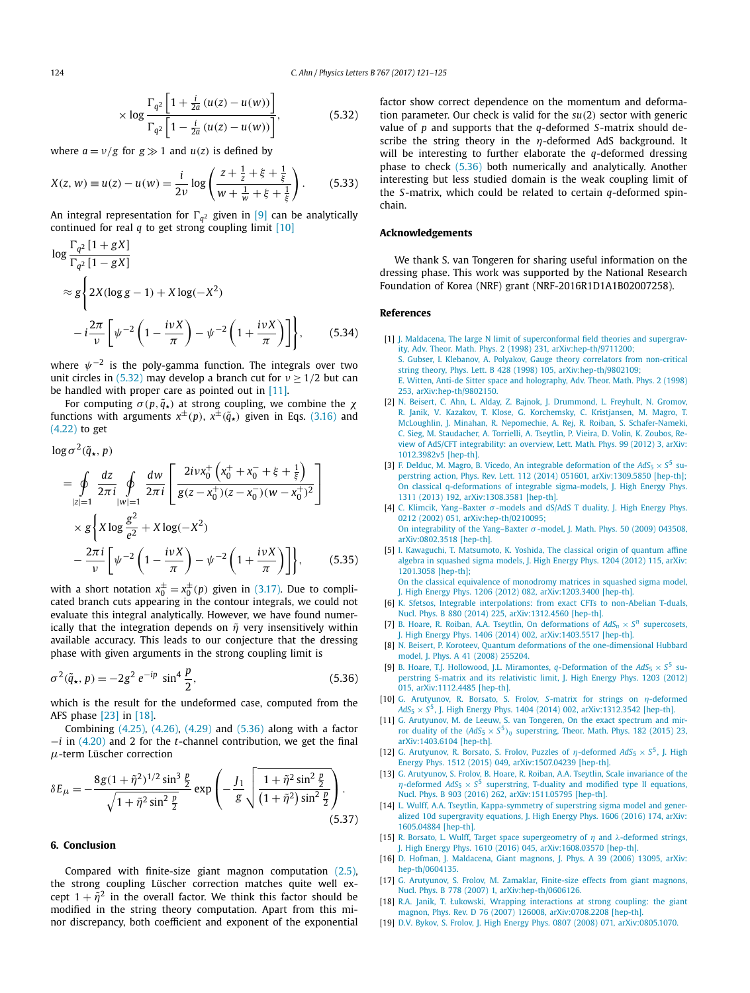<span id="page-3-0"></span>
$$
\times \log \frac{\Gamma_{q^2} \left[ 1 + \frac{i}{2a} \left( u(z) - u(w) \right) \right]}{\Gamma_{q^2} \left[ 1 - \frac{i}{2a} \left( u(z) - u(w) \right) \right]},
$$
(5.32)

where  $a = v/g$  for  $g \gg 1$  and  $u(z)$  is defined by

$$
X(z, w) \equiv u(z) - u(w) = \frac{i}{2\nu} \log \left( \frac{z + \frac{1}{z} + \xi + \frac{1}{\xi}}{w + \frac{1}{w} + \xi + \frac{1}{\xi}} \right). \tag{5.33}
$$

An integral representation for  $\Gamma_{q^2}$  given in [9] can be analytically continued for real  $q$  to get strong coupling limit  $[10]$ 

$$
\log \frac{\Gamma_{q^2} [1 + gX]}{\Gamma_{q^2} [1 - gX]}
$$
  
\n
$$
\approx g \left\{ 2X (\log g - 1) + X \log(-X^2) - i \frac{2\pi}{\nu} \left[ \psi^{-2} \left( 1 - \frac{i\nu X}{\pi} \right) - \psi^{-2} \left( 1 + \frac{i\nu X}{\pi} \right) \right] \right\}, \qquad (5.34)
$$

where *ψ*−<sup>2</sup> is the poly-gamma function. The integrals over two unit circles in (5.32) may develop a branch cut for  $v \ge 1/2$  but can be handled with proper care as pointed out in [11].

For computing  $\sigma(p, \tilde{q}_\star)$  at strong coupling, we combine the  $\chi$ functions with arguments  $x^{\pm}(p)$ ,  $x^{\pm}(\tilde{q}_*)$  given in Eqs. [\(3.16\)](#page-2-0) and [\(4.22\)](#page-2-0) to get

$$
\log \sigma^2(\tilde{q}_\star, p)
$$

$$
= \oint_{|z|=1} \frac{dz}{2\pi i} \oint_{|w|=1} \frac{dw}{2\pi i} \left[ \frac{2i\nu x_0^+ \left( x_0^+ + x_0^- + \xi + \frac{1}{\xi} \right)}{g(z - x_0^+) (z - x_0^-) (w - x_0^+)^2} \right] \times g \left\{ X \log \frac{g^2}{e^2} + X \log(-X^2) - \frac{2\pi i}{\nu} \left[ \psi^{-2} \left( 1 - \frac{i\nu X}{\pi} \right) - \psi^{-2} \left( 1 + \frac{i\nu X}{\pi} \right) \right] \right\}, \qquad (5.35)
$$

with a short notation  $x_0^{\pm} = x_0^{\pm}(p)$  given in [\(3.17\).](#page-2-0) Due to complicated branch cuts appearing in the contour integrals, we could not evaluate this integral analytically. However, we have found numerically that the integration depends on  $\tilde{\eta}$  very insensitively within available accuracy. This leads to our conjecture that the dressing phase with given arguments in the strong coupling limit is

$$
\sigma^2(\tilde{q}_\star, p) = -2g^2 e^{-ip} \sin^4 \frac{p}{2},\tag{5.36}
$$

which is the result for the undeformed case, computed from the AFS phase [\[23\]](#page-4-0) in [18].

Combining [\(4.25\),](#page-2-0) [\(4.26\),](#page-2-0) [\(4.29\)](#page-2-0) and (5.36) along with a factor −*i* in [\(4.20\)](#page-2-0) and 2 for the *t*-channel contribution, we get the final *μ*-term Lüscher correction

$$
\delta E_{\mu} = -\frac{8g(1+\tilde{\eta}^2)^{1/2}\sin^3\frac{p}{2}}{\sqrt{1+\tilde{\eta}^2\sin^2\frac{p}{2}}}\exp\left(-\frac{J_1}{g}\sqrt{\frac{1+\tilde{\eta}^2\sin^2\frac{p}{2}}{(1+\tilde{\eta}^2)\sin^2\frac{p}{2}}}\right).
$$
\n(5.37)

# **6. Conclusion**

Compared with finite-size giant magnon computation [\(2.5\),](#page-1-0) the strong coupling Lüscher correction matches quite well except  $1 + \tilde{\eta}^2$  in the overall factor. We think this factor should be modified in the string theory computation. Apart from this minor discrepancy, both coefficient and exponent of the exponential factor show correct dependence on the momentum and deformation parameter. Our check is valid for the *su(*2*)* sector with generic value of *p* and supports that the *q*-deformed *S*-matrix should describe the string theory in the *η*-deformed AdS background. It will be interesting to further elaborate the *q*-deformed dressing phase to check (5.36) both numerically and analytically. Another interesting but less studied domain is the weak coupling limit of the *S*-matrix, which could be related to certain *q*-deformed spinchain.

#### **Acknowledgements**

We thank S. van Tongeren for sharing useful information on the dressing phase. This work was supported by the National Research Foundation of Korea (NRF) grant (NRF-2016R1D1A1B02007258).

### **References**

- [1] J. Maldacena, The large N limit of [superconformal](http://refhub.elsevier.com/S0370-2693(17)30081-3/bib4164532F434654s1) field theories and supergravity, Adv. Theor. Math. Phys. 2 (1998) 231, [arXiv:hep-th/9711200;](http://refhub.elsevier.com/S0370-2693(17)30081-3/bib4164532F434654s1) S. Gubser, I. Klebanov, A. Polyakov, Gauge theory correlators from [non-critical](http://refhub.elsevier.com/S0370-2693(17)30081-3/bib4164532F434654s2) string theory, Phys. Lett. B 428 (1998) 105, [arXiv:hep-th/9802109;](http://refhub.elsevier.com/S0370-2693(17)30081-3/bib4164532F434654s2) E. Witten, Anti-de Sitter space and [holography,](http://refhub.elsevier.com/S0370-2693(17)30081-3/bib4164532F434654s3) Adv. Theor. Math. Phys. 2 (1998) 253, [arXiv:hep-th/9802150.](http://refhub.elsevier.com/S0370-2693(17)30081-3/bib4164532F434654s3)
- [2] N. Beisert, C. Ahn, L. Alday, Z. Bajnok, J. [Drummond,](http://refhub.elsevier.com/S0370-2693(17)30081-3/bib524Fs1) L. Freyhult, N. Gromov, R. Janik, V. Kazakov, T. Klose, G. [Korchemsky,](http://refhub.elsevier.com/S0370-2693(17)30081-3/bib524Fs1) C. Kristjansen, M. Magro, T. McLoughlin, J. Minahan, R. Nepomechie, A. Rej, R. Roiban, S. [Schafer-Nameki,](http://refhub.elsevier.com/S0370-2693(17)30081-3/bib524Fs1) C. Sieg, M. [Staudacher,](http://refhub.elsevier.com/S0370-2693(17)30081-3/bib524Fs1) A. Torrielli, A. Tseytlin, P. Vieira, D. Volin, K. Zoubos, Review of AdS/CFT [integrability:](http://refhub.elsevier.com/S0370-2693(17)30081-3/bib524Fs1) an overview, Lett. Math. Phys. 99 (2012) 3, arXiv: [1012.3982v5](http://refhub.elsevier.com/S0370-2693(17)30081-3/bib524Fs1) [hep-th].
- [3] F. Delduc, M. Magro, B. Vicedo, An integrable [deformation](http://refhub.elsevier.com/S0370-2693(17)30081-3/bib444D5630393133s1) of the  $AdS_5 \times S^5$  superstring action, Phys. Rev. Lett. 112 (2014) 051601, [arXiv:1309.5850](http://refhub.elsevier.com/S0370-2693(17)30081-3/bib444D5630393133s1) [hep-th]; On classical [q-deformations](http://refhub.elsevier.com/S0370-2693(17)30081-3/bib444D5630393133s2) of integrable sigma-models, J. High Energy Phys. 1311 (2013) 192, [arXiv:1308.3581](http://refhub.elsevier.com/S0370-2693(17)30081-3/bib444D5630393133s2) [hep-th].
- [4] C. Klimcik, [Yang–Baxter](http://refhub.elsevier.com/S0370-2693(17)30081-3/bib4B6C696D63696Bs1) *σ* -models and dS/AdS T duality, J. High Energy Phys. 0212 (2002) 051, [arXiv:hep-th/0210095;](http://refhub.elsevier.com/S0370-2693(17)30081-3/bib4B6C696D63696Bs1) On integrability of the [Yang–Baxter](http://refhub.elsevier.com/S0370-2693(17)30081-3/bib4B6C696D63696Bs2) *σ* -model, J. Math. Phys. 50 (2009) 043508, [arXiv:0802.3518](http://refhub.elsevier.com/S0370-2693(17)30081-3/bib4B6C696D63696Bs2) [hep-th].
- [5] I. Kawaguchi, T. [Matsumoto,](http://refhub.elsevier.com/S0370-2693(17)30081-3/bib4B5931s1) K. Yoshida, The classical origin of quantum affine algebra in [squashed](http://refhub.elsevier.com/S0370-2693(17)30081-3/bib4B5931s1) sigma models, J. High Energy Phys. 1204 (2012) 115, arXiv: [1201.3058](http://refhub.elsevier.com/S0370-2693(17)30081-3/bib4B5931s1) [hep-th];

On the classical equivalence of [monodromy](http://refhub.elsevier.com/S0370-2693(17)30081-3/bib4B5931s2) matrices in squashed sigma model, J. High Energy Phys. 1206 (2012) 082, [arXiv:1203.3400](http://refhub.elsevier.com/S0370-2693(17)30081-3/bib4B5931s2) [hep-th].

- [6] K. Sfetsos, Integrable [interpolations:](http://refhub.elsevier.com/S0370-2693(17)30081-3/bib53666574736F73s1) from exact CFTs to non-Abelian T-duals, Nucl. Phys. B 880 (2014) 225, [arXiv:1312.4560](http://refhub.elsevier.com/S0370-2693(17)30081-3/bib53666574736F73s1) [hep-th].
- [7] B. Hoare, R. Roiban, A.A. Tseytlin, On [deformations](http://refhub.elsevier.com/S0370-2693(17)30081-3/bib485254s1) of  $AdS_n \times S^n$  supercosets, J. High Energy Phys. 1406 (2014) 002, [arXiv:1403.5517](http://refhub.elsevier.com/S0370-2693(17)30081-3/bib485254s1) [hep-th].
- [8] N. Beisert, P. Koroteev, Quantum deformations of the [one-dimensional](http://refhub.elsevier.com/S0370-2693(17)30081-3/bib4265694B6F72s1) Hubbard model, J. Phys. A 41 (2008) [255204.](http://refhub.elsevier.com/S0370-2693(17)30081-3/bib4265694B6F72s1)
- [9] B. Hoare, T.J. Hollowood, J.L. Miramontes, *q*[-Deformation](http://refhub.elsevier.com/S0370-2693(17)30081-3/bib48484Ds1) of the  $AdS_5 \times S^5$  superstring S-matrix and its [relativistic](http://refhub.elsevier.com/S0370-2693(17)30081-3/bib48484Ds1) limit, J. High Energy Phys. 1203 (2012) 015, [arXiv:1112.4485](http://refhub.elsevier.com/S0370-2693(17)30081-3/bib48484Ds1) [hep-th].
- [10] G. [Arutyunov,](http://refhub.elsevier.com/S0370-2693(17)30081-3/bib414246s1) R. Borsato, S. Frolov, *S*-matrix for strings on *η*-deformed *AdS*<sup>5</sup> × *<sup>S</sup>*5, J. High Energy Phys. <sup>1404</sup> (2014) 002, [arXiv:1312.3542](http://refhub.elsevier.com/S0370-2693(17)30081-3/bib414246s1) [hep-th].
- [11] G. [Arutyunov,](http://refhub.elsevier.com/S0370-2693(17)30081-3/bib41644C54s1) M. de Leeuw, S. van Tongeren, On the exact spectrum and mirror duality of the  $(AdS_5 \times S^5)_\eta$  [superstring,](http://refhub.elsevier.com/S0370-2693(17)30081-3/bib41644C54s1) Theor. Math. Phys. 182 (2015) 23, [arXiv:1403.6104](http://refhub.elsevier.com/S0370-2693(17)30081-3/bib41644C54s1) [hep-th].
- [12] G. [Arutyunov,](http://refhub.elsevier.com/S0370-2693(17)30081-3/bib41424632303135s1) R. Borsato, S. Frolov, Puzzles of  $\eta$ -deformed  $AdS_5 \times S^5$ , J. High Energy Phys. 1512 (2015) 049, [arXiv:1507.04239](http://refhub.elsevier.com/S0370-2693(17)30081-3/bib41424632303135s1) [hep-th].
- [13] G. [Arutyunov,](http://refhub.elsevier.com/S0370-2693(17)30081-3/bib4146485254s1) S. Frolov, B. Hoare, R. Roiban, A.A. Tseytlin, Scale invariance of the *η*-deformed  $AdS_5 \times S^5$  [superstring,](http://refhub.elsevier.com/S0370-2693(17)30081-3/bib4146485254s1) T-duality and modified type II equations, Nucl. Phys. B 903 (2016) 262, [arXiv:1511.05795](http://refhub.elsevier.com/S0370-2693(17)30081-3/bib4146485254s1) [hep-th].
- [14] L. Wulff, A.A. Tseytlin, [Kappa-symmetry](http://refhub.elsevier.com/S0370-2693(17)30081-3/bib57756C547365s1) of superstring sigma model and generalized 10d [supergravity](http://refhub.elsevier.com/S0370-2693(17)30081-3/bib57756C547365s1) equations, J. High Energy Phys. 1606 (2016) 174, arXiv: [1605.04884](http://refhub.elsevier.com/S0370-2693(17)30081-3/bib57756C547365s1) [hep-th].
- [15] R. Borsato, L. Wulff, Target space [supergeometry](http://refhub.elsevier.com/S0370-2693(17)30081-3/bib426F7257756Cs1) of *η* and *λ*-deformed strings, J. High Energy Phys. 1610 (2016) 045, [arXiv:1608.03570](http://refhub.elsevier.com/S0370-2693(17)30081-3/bib426F7257756Cs1) [hep-th].
- [16] D. Hofman, J. [Maldacena,](http://refhub.elsevier.com/S0370-2693(17)30081-3/bib484Ds1) Giant magnons, J. Phys. A 39 (2006) 13095, arXiv: [hep-th/0604135.](http://refhub.elsevier.com/S0370-2693(17)30081-3/bib484Ds1)
- [17] G. [Arutyunov,](http://refhub.elsevier.com/S0370-2693(17)30081-3/bib41465As1) S. Frolov, M. Zamaklar, Finite-size effects from giant magnons, Nucl. Phys. B 778 (2007) 1, [arXiv:hep-th/0606126.](http://refhub.elsevier.com/S0370-2693(17)30081-3/bib41465As1)
- [18] R.A. Janik, T. Łukowski, Wrapping [interactions](http://refhub.elsevier.com/S0370-2693(17)30081-3/bib4A4Cs1) at strong coupling: the giant magnon, Phys. Rev. D 76 (2007) 126008, [arXiv:0708.2208](http://refhub.elsevier.com/S0370-2693(17)30081-3/bib4A4Cs1) [hep-th].
- [19] D.V. Bykov, S. Frolov, J. High Energy Phys. 0807 (2008) 071, [arXiv:0805.1070.](http://refhub.elsevier.com/S0370-2693(17)30081-3/bib4246s1)